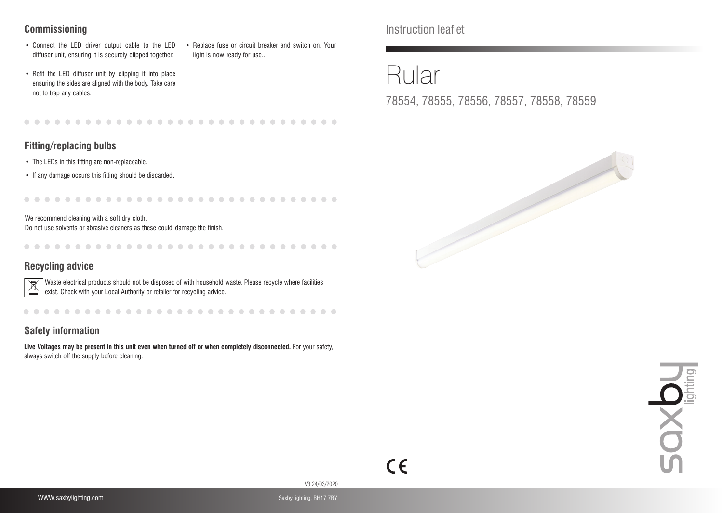## **Commissioning**

- Connect the LED driver output cable to the LED diffuser unit, ensuring it is securely clipped together.
- Replace fuse or circuit breaker and switch on. Your light is now ready for use..
- Refit the LED diffuser unit by clipping it into place ensuring the sides are aligned with the body. Take care not to trap any cables.

## **Fitting/replacing bulbs**

- The LEDs in this fitting are non-replaceable.
- If any damage occurs this fitting should be discarded.

We recommend cleaning with a soft dry cloth.

Do not use solvents or abrasive cleaners as these could damage the finish.

............................

## **Recycling advice**

Waste electrical products should not be disposed of with household waste. Please recycle where facilities exist. Check with your Local Authority or retailer for recycling advice.

## **Safety information**

**Live Voltages may be present in this unit even when turned off or when completely disconnected.** For your safety, always switch off the supply before cleaning.

Instruction leaflet

# Rular

78554, 78555, 78556, 78557, 78558, 78559







V3 24/03/2020